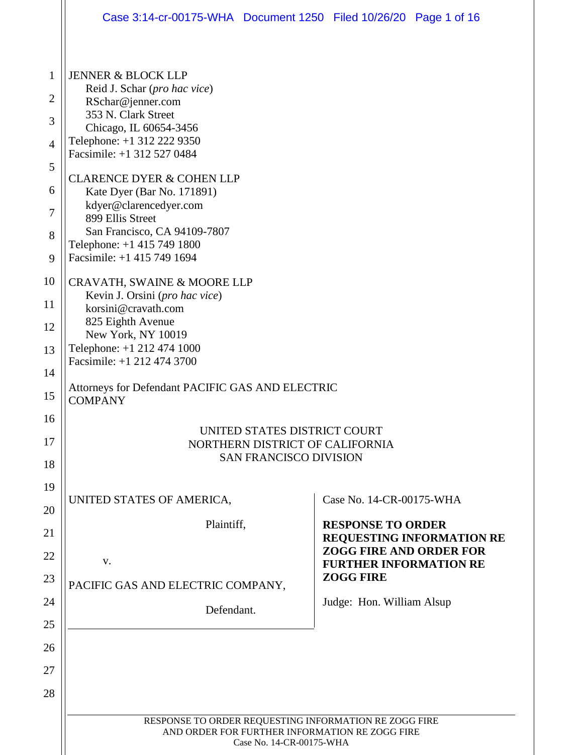|                | Case 3:14-cr-00175-WHA  Document 1250  Filed 10/26/20  Page 1 of 16                                                                 |  |                                                   |                                  |
|----------------|-------------------------------------------------------------------------------------------------------------------------------------|--|---------------------------------------------------|----------------------------------|
| $\mathbf{1}$   | <b>JENNER &amp; BLOCK LLP</b>                                                                                                       |  |                                                   |                                  |
| $\overline{2}$ | Reid J. Schar (pro hac vice)<br>RSchar@jenner.com                                                                                   |  |                                                   |                                  |
| 3              | 353 N. Clark Street<br>Chicago, IL 60654-3456                                                                                       |  |                                                   |                                  |
| $\overline{4}$ | Telephone: +1 312 222 9350                                                                                                          |  |                                                   |                                  |
| 5              | Facsimile: +1 312 527 0484                                                                                                          |  |                                                   |                                  |
| 6              | <b>CLARENCE DYER &amp; COHEN LLP</b><br>Kate Dyer (Bar No. 171891)                                                                  |  |                                                   |                                  |
| 7              | kdyer@clarencedyer.com<br>899 Ellis Street                                                                                          |  |                                                   |                                  |
| 8              | San Francisco, CA 94109-7807<br>Telephone: +1 415 749 1800                                                                          |  |                                                   |                                  |
| 9              | Facsimile: +1 415 749 1694                                                                                                          |  |                                                   |                                  |
| 10             | <b>CRAVATH, SWAINE &amp; MOORE LLP</b><br>Kevin J. Orsini (pro hac vice)                                                            |  |                                                   |                                  |
| 11             | korsini@cravath.com                                                                                                                 |  |                                                   |                                  |
| 12             | 825 Eighth Avenue<br>New York, NY 10019                                                                                             |  |                                                   |                                  |
| 13             | Telephone: +1 212 474 1000<br>Facsimile: +1 212 474 3700                                                                            |  |                                                   |                                  |
| 14             | Attorneys for Defendant PACIFIC GAS AND ELECTRIC                                                                                    |  |                                                   |                                  |
| 15             | <b>COMPANY</b>                                                                                                                      |  |                                                   |                                  |
| 16             | UNITED STATES DISTRICT COURT<br>NORTHERN DISTRICT OF CALIFORNIA<br><b>SAN FRANCISCO DIVISION</b>                                    |  |                                                   |                                  |
| 17             |                                                                                                                                     |  |                                                   |                                  |
| 18<br>19       |                                                                                                                                     |  |                                                   |                                  |
| 20             | UNITED STATES OF AMERICA,                                                                                                           |  | Case No. 14-CR-00175-WHA                          |                                  |
| 21             | Plaintiff,                                                                                                                          |  | <b>RESPONSE TO ORDER</b>                          |                                  |
| 22             |                                                                                                                                     |  | <b>ZOGG FIRE AND ORDER FOR</b>                    | <b>REQUESTING INFORMATION RE</b> |
| 23             | V.                                                                                                                                  |  | <b>FURTHER INFORMATION RE</b><br><b>ZOGG FIRE</b> |                                  |
| 24             | PACIFIC GAS AND ELECTRIC COMPANY,                                                                                                   |  | Judge: Hon. William Alsup                         |                                  |
| 25             | Defendant.                                                                                                                          |  |                                                   |                                  |
| 26             |                                                                                                                                     |  |                                                   |                                  |
| 27             |                                                                                                                                     |  |                                                   |                                  |
| 28             |                                                                                                                                     |  |                                                   |                                  |
|                | RESPONSE TO ORDER REQUESTING INFORMATION RE ZOGG FIRE<br>AND ORDER FOR FURTHER INFORMATION RE ZOGG FIRE<br>Case No. 14-CR-00175-WHA |  |                                                   |                                  |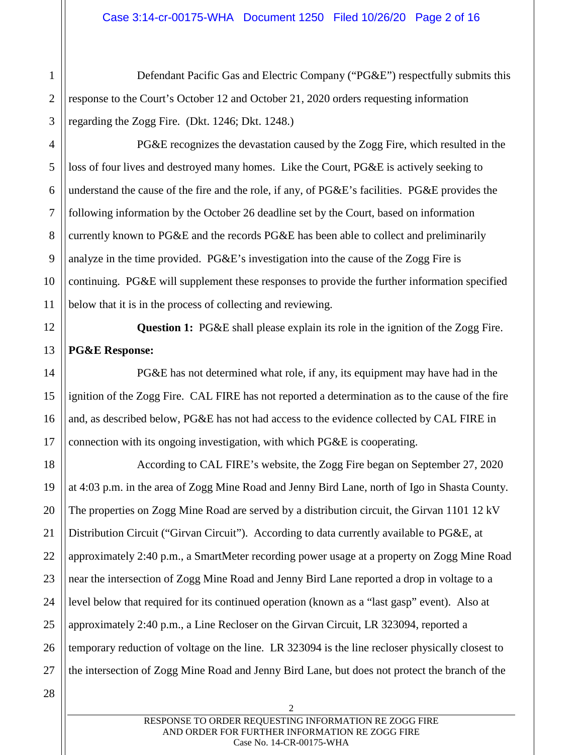Defendant Pacific Gas and Electric Company ("PG&E") respectfully submits this response to the Court's October 12 and October 21, 2020 orders requesting information regarding the Zogg Fire. (Dkt. 1246; Dkt. 1248.)

PG&E recognizes the devastation caused by the Zogg Fire, which resulted in the loss of four lives and destroyed many homes. Like the Court, PG&E is actively seeking to understand the cause of the fire and the role, if any, of PG&E's facilities. PG&E provides the following information by the October 26 deadline set by the Court, based on information currently known to PG&E and the records PG&E has been able to collect and preliminarily analyze in the time provided.  $P G \& E$ 's investigation into the cause of the Zogg Fire is continuing. PG&E will supplement these responses to provide the further information specified below that it is in the process of collecting and reviewing.

**Question 1:** PG&E shall please explain its role in the ignition of the Zogg Fire. **PG&E Response:** 

PG&E has not determined what role, if any, its equipment may have had in the ignition of the Zogg Fire. CAL FIRE has not reported a determination as to the cause of the fire and, as described below, PG&E has not had access to the evidence collected by CAL FIRE in connection with its ongoing investigation, with which PG&E is cooperating.

18 19 20 22 23 24 25 26 According to CAL FIRE's website, the Zogg Fire began on September 27, 2020 at 4:03 p.m. in the area of Zogg Mine Road and Jenny Bird Lane, north of Igo in Shasta County. The properties on Zogg Mine Road are served by a distribution circuit, the Girvan 1101 12 kV Distribution Circuit ("Girvan Circuit"). According to data currently available to PG&E, at approximately 2:40 p.m., a SmartMeter recording power usage at a property on Zogg Mine Road near the intersection of Zogg Mine Road and Jenny Bird Lane reported a drop in voltage to a level below that required for its continued operation (known as a "last gasp" event). Also at approximately 2:40 p.m., a Line Recloser on the Girvan Circuit, LR 323094, reported a temporary reduction of voltage on the line. LR 323094 is the line recloser physically closest to the intersection of Zogg Mine Road and Jenny Bird Lane, but does not protect the branch of the

1

2

3

4

5

6

7

8

9

10

11

12

13

14

15

16

17

21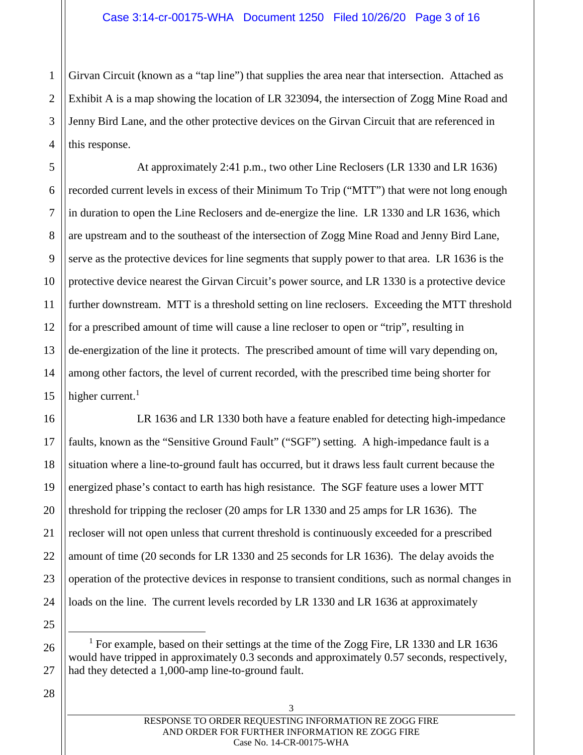4 Girvan Circuit (known as a "tap line") that supplies the area near that intersection. Attached as Exhibit A is a map showing the location of LR 323094, the intersection of Zogg Mine Road and Jenny Bird Lane, and the other protective devices on the Girvan Circuit that are referenced in this response.

At approximately 2:41 p.m., two other Line Reclosers (LR 1330 and LR 1636) recorded current levels in excess of their Minimum To Trip ("MTT") that were not long enough in duration to open the Line Reclosers and de-energize the line. LR 1330 and LR 1636, which are upstream and to the southeast of the intersection of Zogg Mine Road and Jenny Bird Lane, serve as the protective devices for line segments that supply power to that area. LR 1636 is the protective device nearest the Girvan Circuit's power source, and LR 1330 is a protective device further downstream. MTT is a threshold setting on line reclosers. Exceeding the MTT threshold for a prescribed amount of time will cause a line recloser to open or "trip", resulting in de-energization of the line it protects. The prescribed amount of time will vary depending on, among other factors, the level of current recorded, with the prescribed time being shorter for higher current. $<sup>1</sup>$ </sup>

LR 1636 and LR 1330 both have a feature enabled for detecting high-impedance faults, known as the "Sensitive Ground Fault" ("SGF") setting. A high-impedance fault is a situation where a line-to-ground fault has occurred, but it draws less fault current because the energized phase's contact to earth has high resistance. The SGF feature uses a lower MTT threshold for tripping the recloser (20 amps for LR 1330 and 25 amps for LR 1636). The recloser will not open unless that current threshold is continuously exceeded for a prescribed amount of time (20 seconds for LR 1330 and 25 seconds for LR 1636). The delay avoids the operation of the protective devices in response to transient conditions, such as normal changes in loads on the line. The current levels recorded by LR 1330 and LR 1636 at approximately

<sup>1</sup> For example, based on their settings at the time of the Zogg Fire, LR 1330 and LR 1636 would have tripped in approximately 0.3 seconds and approximately 0.57 seconds, respectively, had they detected a 1,000-amp line-to-ground fault.

27

1

2

3

5

6

7

8

9

10

11

12

13

14

15

16

17

18

19

20

21

22

23

24

25

26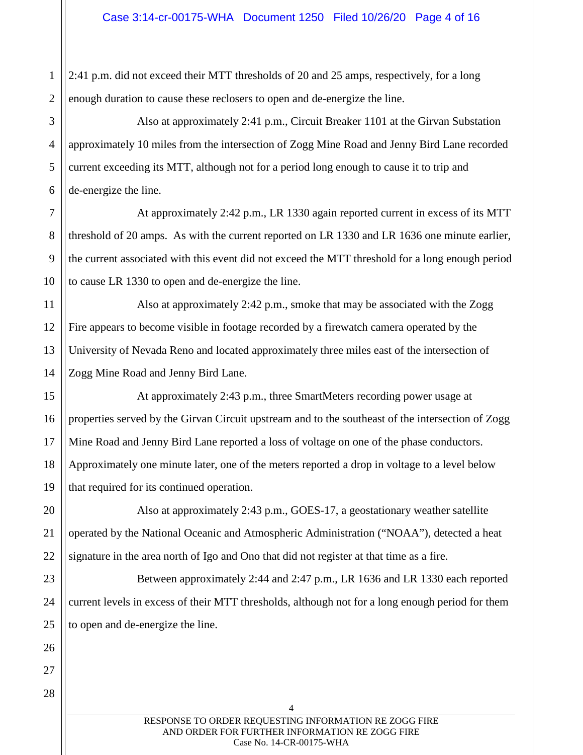1 2 2:41 p.m. did not exceed their MTT thresholds of 20 and 25 amps, respectively, for a long enough duration to cause these reclosers to open and de-energize the line.

7

8

9

10

11

12

13

14

15

17

20

21

22

23

24

25

26

27

28

3 4 5 6 Also at approximately 2:41 p.m., Circuit Breaker 1101 at the Girvan Substation approximately 10 miles from the intersection of Zogg Mine Road and Jenny Bird Lane recorded current exceeding its MTT, although not for a period long enough to cause it to trip and de-energize the line.

At approximately 2:42 p.m., LR 1330 again reported current in excess of its MTT threshold of 20 amps. As with the current reported on LR 1330 and LR 1636 one minute earlier, the current associated with this event did not exceed the MTT threshold for a long enough period to cause LR 1330 to open and de-energize the line.

Also at approximately 2:42 p.m., smoke that may be associated with the Zogg Fire appears to become visible in footage recorded by a firewatch camera operated by the University of Nevada Reno and located approximately three miles east of the intersection of Zogg Mine Road and Jenny Bird Lane.

16 18 19 At approximately 2:43 p.m., three SmartMeters recording power usage at properties served by the Girvan Circuit upstream and to the southeast of the intersection of Zogg Mine Road and Jenny Bird Lane reported a loss of voltage on one of the phase conductors. Approximately one minute later, one of the meters reported a drop in voltage to a level below that required for its continued operation.

Also at approximately 2:43 p.m., GOES-17, a geostationary weather satellite operated by the National Oceanic and Atmospheric Administration ("NOAA"), detected a heat signature in the area north of Igo and Ono that did not register at that time as a fire.

Between approximately 2:44 and 2:47 p.m., LR 1636 and LR 1330 each reported current levels in excess of their MTT thresholds, although not for a long enough period for them to open and de-energize the line.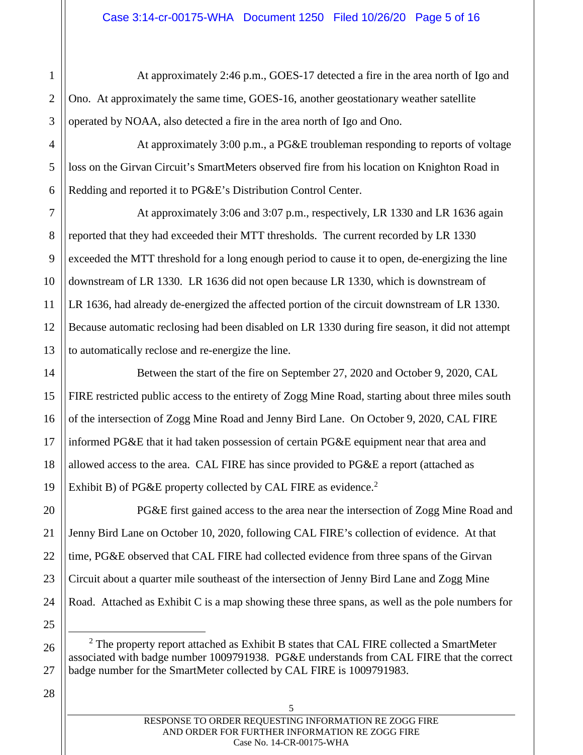At approximately 2:46 p.m., GOES-17 detected a fire in the area north of Igo and Ono. At approximately the same time, GOES-16, another geostationary weather satellite operated by NOAA, also detected a fire in the area north of Igo and Ono.

6 At approximately 3:00 p.m., a PG&E troubleman responding to reports of voltage loss on the Girvan Circuit's SmartMeters observed fire from his location on Knighton Road in Redding and reported it to PG&E's Distribution Control Center.

At approximately 3:06 and 3:07 p.m., respectively, LR 1330 and LR 1636 again reported that they had exceeded their MTT thresholds. The current recorded by LR 1330 exceeded the MTT threshold for a long enough period to cause it to open, de-energizing the line downstream of LR 1330. LR 1636 did not open because LR 1330, which is downstream of LR 1636, had already de-energized the affected portion of the circuit downstream of LR 1330. Because automatic reclosing had been disabled on LR 1330 during fire season, it did not attempt to automatically reclose and re-energize the line.

Between the start of the fire on September 27, 2020 and October 9, 2020, CAL FIRE restricted public access to the entirety of Zogg Mine Road, starting about three miles south of the intersection of Zogg Mine Road and Jenny Bird Lane. On October 9, 2020, CAL FIRE informed PG&E that it had taken possession of certain PG&E equipment near that area and allowed access to the area. CAL FIRE has since provided to PG&E a report (attached as Exhibit B) of PG&E property collected by CAL FIRE as evidence.<sup>2</sup>

PG&E first gained access to the area near the intersection of Zogg Mine Road and Jenny Bird Lane on October 10, 2020, following CAL FIRE's collection of evidence. At that time, PG&E observed that CAL FIRE had collected evidence from three spans of the Girvan Circuit about a quarter mile southeast of the intersection of Jenny Bird Lane and Zogg Mine Road. Attached as Exhibit C is a map showing these three spans, as well as the pole numbers for

 $2$  The property report attached as Exhibit B states that CAL FIRE collected a SmartMeter associated with badge number 1009791938. PG&E understands from CAL FIRE that the correct badge number for the SmartMeter collected by CAL FIRE is 1009791983.

28

1

2

3

4

5

7

8

9

10

11

12

13

14

15

16

17

18

19

20

21

22

23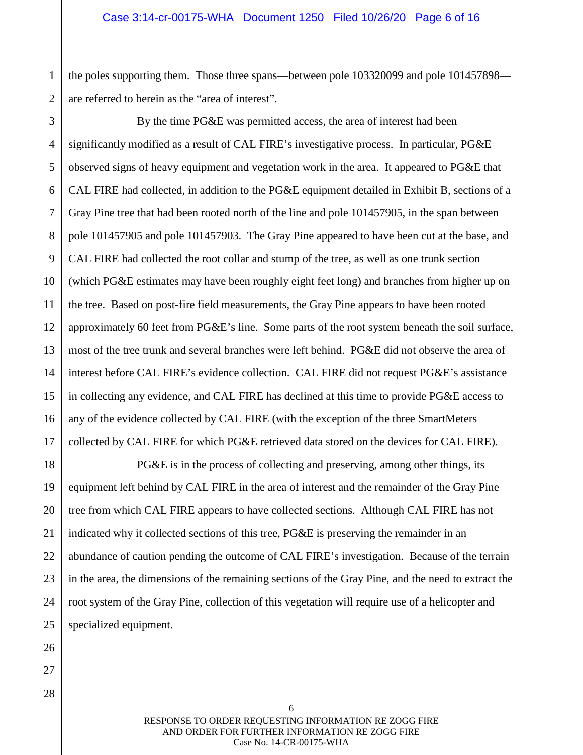2 the poles supporting them. Those three spans—between pole 103320099 and pole 101457898 are referred to herein as the "area of interest".

3 4 5 6 7 8 9 10 11 12 13 14 15 16 17 By the time PG&E was permitted access, the area of interest had been significantly modified as a result of CAL FIRE's investigative process. In particular, PG&E observed signs of heavy equipment and vegetation work in the area. It appeared to PG&E that CAL FIRE had collected, in addition to the PG&E equipment detailed in Exhibit B, sections of a Gray Pine tree that had been rooted north of the line and pole 101457905, in the span between pole 101457905 and pole 101457903. The Gray Pine appeared to have been cut at the base, and CAL FIRE had collected the root collar and stump of the tree, as well as one trunk section (which PG&E estimates may have been roughly eight feet long) and branches from higher up on the tree. Based on post-fire field measurements, the Gray Pine appears to have been rooted approximately 60 feet from PG&E's line. Some parts of the root system beneath the soil surface, most of the tree trunk and several branches were left behind. PG&E did not observe the area of interest before CAL FIRE's evidence collection. CAL FIRE did not request PG&E's assistance in collecting any evidence, and CAL FIRE has declined at this time to provide PG&E access to any of the evidence collected by CAL FIRE (with the exception of the three SmartMeters collected by CAL FIRE for which PG&E retrieved data stored on the devices for CAL FIRE).

PG&E is in the process of collecting and preserving, among other things, its equipment left behind by CAL FIRE in the area of interest and the remainder of the Gray Pine tree from which CAL FIRE appears to have collected sections. Although CAL FIRE has not indicated why it collected sections of this tree, PG&E is preserving the remainder in an abundance of caution pending the outcome of CAL FIRE's investigation. Because of the terrain in the area, the dimensions of the remaining sections of the Gray Pine, and the need to extract the root system of the Gray Pine, collection of this vegetation will require use of a helicopter and specialized equipment.

> RESPONSE TO ORDER REQUESTING INFORMATION RE ZOGG FIRE AND ORDER FOR FURTHER INFORMATION RE ZOGG FIRE Case No. 14-CR-00175-WHA

6

18

19

20

21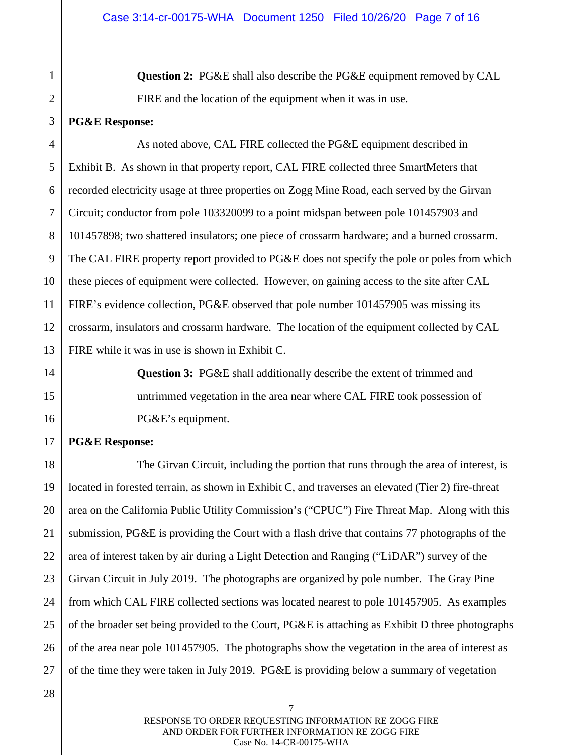**Question 2:** PG&E shall also describe the PG&E equipment removed by CAL FIRE and the location of the equipment when it was in use.

# **PG&E Response:**

1

2

3

14

15

16

17

4 5 6 7 8 9 10 11 12 13 As noted above, CAL FIRE collected the PG&E equipment described in Exhibit B. As shown in that property report, CAL FIRE collected three SmartMeters that recorded electricity usage at three properties on Zogg Mine Road, each served by the Girvan Circuit; conductor from pole 103320099 to a point midspan between pole 101457903 and 101457898; two shattered insulators; one piece of crossarm hardware; and a burned crossarm. The CAL FIRE property report provided to PG&E does not specify the pole or poles from which these pieces of equipment were collected. However, on gaining access to the site after CAL FIRE's evidence collection, PG&E observed that pole number 101457905 was missing its crossarm, insulators and crossarm hardware. The location of the equipment collected by CAL FIRE while it was in use is shown in Exhibit C.

> **Question 3:** PG&E shall additionally describe the extent of trimmed and untrimmed vegetation in the area near where CAL FIRE took possession of PG&E's equipment.

# **PG&E Response:**

18 19 20 21 22 23 24 25 26 27 The Girvan Circuit, including the portion that runs through the area of interest, is located in forested terrain, as shown in Exhibit C, and traverses an elevated (Tier 2) fire-threat area on the California Public Utility Commission's ("CPUC") Fire Threat Map. Along with this submission, PG&E is providing the Court with a flash drive that contains 77 photographs of the area of interest taken by air during a Light Detection and Ranging ("LiDAR") survey of the Girvan Circuit in July 2019. The photographs are organized by pole number. The Gray Pine from which CAL FIRE collected sections was located nearest to pole 101457905. As examples of the broader set being provided to the Court, PG&E is attaching as Exhibit D three photographs of the area near pole 101457905. The photographs show the vegetation in the area of interest as of the time they were taken in July 2019. PG&E is providing below a summary of vegetation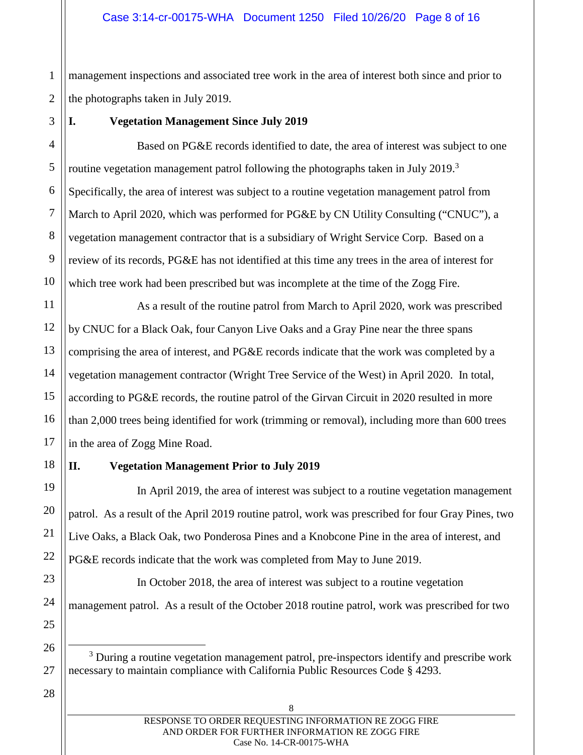1 2 management inspections and associated tree work in the area of interest both since and prior to the photographs taken in July 2019.

3

4

5

6

7

8

9

10

11

12

13

14

15

16

17

18

19

20

21

22

23

# **I. Vegetation Management Since July 2019**

Based on PG&E records identified to date, the area of interest was subject to one routine vegetation management patrol following the photographs taken in July 2019.<sup>3</sup> Specifically, the area of interest was subject to a routine vegetation management patrol from March to April 2020, which was performed for PG&E by CN Utility Consulting ("CNUC"), a vegetation management contractor that is a subsidiary of Wright Service Corp. Based on a review of its records, PG&E has not identified at this time any trees in the area of interest for which tree work had been prescribed but was incomplete at the time of the Zogg Fire.

As a result of the routine patrol from March to April 2020, work was prescribed by CNUC for a Black Oak, four Canyon Live Oaks and a Gray Pine near the three spans comprising the area of interest, and PG&E records indicate that the work was completed by a vegetation management contractor (Wright Tree Service of the West) in April 2020. In total, according to PG&E records, the routine patrol of the Girvan Circuit in 2020 resulted in more than 2,000 trees being identified for work (trimming or removal), including more than 600 trees in the area of Zogg Mine Road.

# **II. Vegetation Management Prior to July 2019**

In April 2019, the area of interest was subject to a routine vegetation management patrol. As a result of the April 2019 routine patrol, work was prescribed for four Gray Pines, two Live Oaks, a Black Oak, two Ponderosa Pines and a Knobcone Pine in the area of interest, and PG&E records indicate that the work was completed from May to June 2019.

In October 2018, the area of interest was subject to a routine vegetation management patrol. As a result of the October 2018 routine patrol, work was prescribed for two

<sup>3</sup> During a routine vegetation management patrol, pre-inspectors identify and prescribe work necessary to maintain compliance with California Public Resources Code § 4293.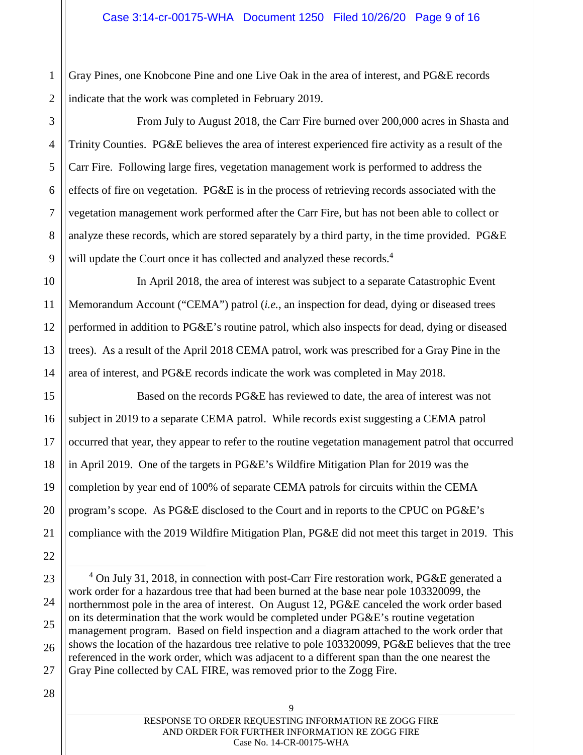2 Gray Pines, one Knobcone Pine and one Live Oak in the area of interest, and PG&E records indicate that the work was completed in February 2019.

From July to August 2018, the Carr Fire burned over 200,000 acres in Shasta and Trinity Counties. PG&E believes the area of interest experienced fire activity as a result of the Carr Fire. Following large fires, vegetation management work is performed to address the effects of fire on vegetation. PG&E is in the process of retrieving records associated with the vegetation management work performed after the Carr Fire, but has not been able to collect or analyze these records, which are stored separately by a third party, in the time provided. PG&E will update the Court once it has collected and analyzed these records.<sup>4</sup>

In April 2018, the area of interest was subject to a separate Catastrophic Event Memorandum Account ("CEMA") patrol (*i.e.*, an inspection for dead, dying or diseased trees performed in addition to PG&E's routine patrol, which also inspects for dead, dying or diseased trees). As a result of the April 2018 CEMA patrol, work was prescribed for a Gray Pine in the area of interest, and PG&E records indicate the work was completed in May 2018.

Based on the records PG&E has reviewed to date, the area of interest was not subject in 2019 to a separate CEMA patrol. While records exist suggesting a CEMA patrol occurred that year, they appear to refer to the routine vegetation management patrol that occurred in April 2019. One of the targets in PG&E's Wildfire Mitigation Plan for 2019 was the completion by year end of 100% of separate CEMA patrols for circuits within the CEMA program's scope. As PG&E disclosed to the Court and in reports to the CPUC on PG&E's compliance with the 2019 Wildfire Mitigation Plan, PG&E did not meet this target in 2019. This

1

3

 $\alpha$ 

<sup>&</sup>lt;sup>4</sup> On July 31, 2018, in connection with post-Carr Fire restoration work, PG&E generated a work order for a hazardous tree that had been burned at the base near pole 103320099, the northernmost pole in the area of interest. On August 12, PG&E canceled the work order based on its determination that the work would be completed under PG&E's routine vegetation management program. Based on field inspection and a diagram attached to the work order that shows the location of the hazardous tree relative to pole 103320099, PG&E believes that the tree referenced in the work order, which was adjacent to a different span than the one nearest the Gray Pine collected by CAL FIRE, was removed prior to the Zogg Fire.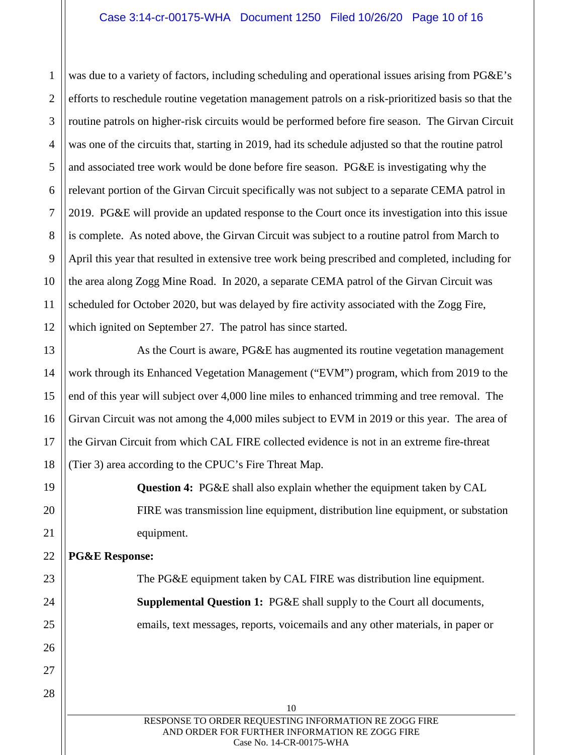#### Case 3:14-cr-00175-WHA Document 1250 Filed 10/26/20 Page 10 of 16

1 was due to a variety of factors, including scheduling and operational issues arising from PG&E's efforts to reschedule routine vegetation management patrols on a risk-prioritized basis so that the routine patrols on higher-risk circuits would be performed before fire season. The Girvan Circuit was one of the circuits that, starting in 2019, had its schedule adjusted so that the routine patrol and associated tree work would be done before fire season. PG&E is investigating why the relevant portion of the Girvan Circuit specifically was not subject to a separate CEMA patrol in 2019. PG&E will provide an updated response to the Court once its investigation into this issue is complete. As noted above, the Girvan Circuit was subject to a routine patrol from March to April this year that resulted in extensive tree work being prescribed and completed, including for the area along Zogg Mine Road. In 2020, a separate CEMA patrol of the Girvan Circuit was scheduled for October 2020, but was delayed by fire activity associated with the Zogg Fire, which ignited on September 27. The patrol has since started.

As the Court is aware, PG&E has augmented its routine vegetation management work through its Enhanced Vegetation Management ("EVM") program, which from 2019 to the end of this year will subject over 4,000 line miles to enhanced trimming and tree removal. The Girvan Circuit was not among the 4,000 miles subject to EVM in 2019 or this year. The area of the Girvan Circuit from which CAL FIRE collected evidence is not in an extreme fire-threat (Tier 3) area according to the CPUC's Fire Threat Map.

**Question 4:** PG&E shall also explain whether the equipment taken by CAL FIRE was transmission line equipment, distribution line equipment, or substation equipment.

### **PG&E Response:**

The PG&E equipment taken by CAL FIRE was distribution line equipment. **Supplemental Question 1:** PG&E shall supply to the Court all documents, emails, text messages, reports, voicemails and any other materials, in paper or

10 RESPONSE TO ORDER REQUESTING INFORMATION RE ZOGG FIRE AND ORDER FOR FURTHER INFORMATION RE ZOGG FIRE Case No. 14-CR-00175-WHA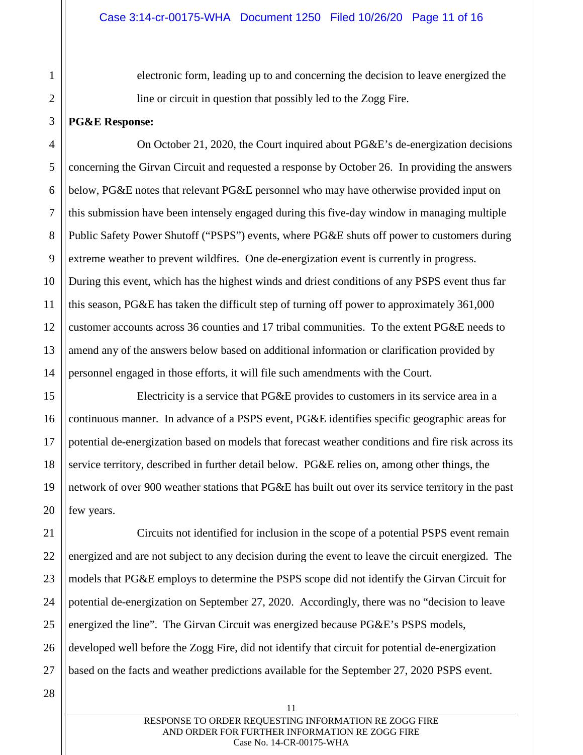electronic form, leading up to and concerning the decision to leave energized the line or circuit in question that possibly led to the Zogg Fire.

### **PG&E Response:**

1

2

3

4

5

7

8

9

11

15

16

17

18

19

20

6 10 12 13 14 On October 21, 2020, the Court inquired about PG&E's de-energization decisions concerning the Girvan Circuit and requested a response by October 26. In providing the answers below, PG&E notes that relevant PG&E personnel who may have otherwise provided input on this submission have been intensely engaged during this five-day window in managing multiple Public Safety Power Shutoff ("PSPS") events, where PG&E shuts off power to customers during extreme weather to prevent wildfires. One de-energization event is currently in progress. During this event, which has the highest winds and driest conditions of any PSPS event thus far this season, PG&E has taken the difficult step of turning off power to approximately 361,000 customer accounts across 36 counties and 17 tribal communities. To the extent PG&E needs to amend any of the answers below based on additional information or clarification provided by personnel engaged in those efforts, it will file such amendments with the Court.

Electricity is a service that PG&E provides to customers in its service area in a continuous manner. In advance of a PSPS event, PG&E identifies specific geographic areas for potential de-energization based on models that forecast weather conditions and fire risk across its service territory, described in further detail below. PG&E relies on, among other things, the network of over 900 weather stations that PG&E has built out over its service territory in the past few years.

21 22 23 24 25 Circuits not identified for inclusion in the scope of a potential PSPS event remain energized and are not subject to any decision during the event to leave the circuit energized. The models that PG&E employs to determine the PSPS scope did not identify the Girvan Circuit for potential de-energization on September 27, 2020. Accordingly, there was no "decision to leave energized the line". The Girvan Circuit was energized because PG&E's PSPS models, developed well before the Zogg Fire, did not identify that circuit for potential de-energization based on the facts and weather predictions available for the September 27, 2020 PSPS event.

26 27 28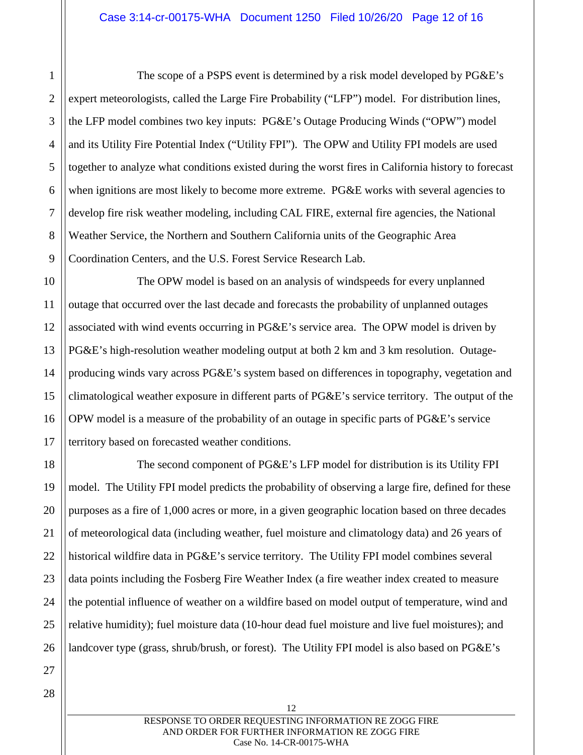The scope of a PSPS event is determined by a risk model developed by PG&E's expert meteorologists, called the Large Fire Probability ("LFP") model. For distribution lines, the LFP model combines two key inputs: PG&E's Outage Producing Winds ("OPW") model and its Utility Fire Potential Index ("Utility FPI"). The OPW and Utility FPI models are used together to analyze what conditions existed during the worst fires in California history to forecast when ignitions are most likely to become more extreme. PG&E works with several agencies to develop fire risk weather modeling, including CAL FIRE, external fire agencies, the National Weather Service, the Northern and Southern California units of the Geographic Area Coordination Centers, and the U.S. Forest Service Research Lab.

10 The OPW model is based on an analysis of windspeeds for every unplanned outage that occurred over the last decade and forecasts the probability of unplanned outages associated with wind events occurring in PG&E's service area. The OPW model is driven by PG&E's high-resolution weather modeling output at both 2 km and 3 km resolution. Outageproducing winds vary across PG&E's system based on differences in topography, vegetation and climatological weather exposure in different parts of PG&E's service territory. The output of the OPW model is a measure of the probability of an outage in specific parts of PG&E's service territory based on forecasted weather conditions.

The second component of PG&E's LFP model for distribution is its Utility FPI model. The Utility FPI model predicts the probability of observing a large fire, defined for these purposes as a fire of 1,000 acres or more, in a given geographic location based on three decades of meteorological data (including weather, fuel moisture and climatology data) and 26 years of historical wildfire data in PG&E's service territory. The Utility FPI model combines several data points including the Fosberg Fire Weather Index (a fire weather index created to measure the potential influence of weather on a wildfire based on model output of temperature, wind and relative humidity); fuel moisture data (10-hour dead fuel moisture and live fuel moistures); and landcover type (grass, shrub/brush, or forest). The Utility FPI model is also based on PG&E's

1

2

3

4

5

6

7

8

9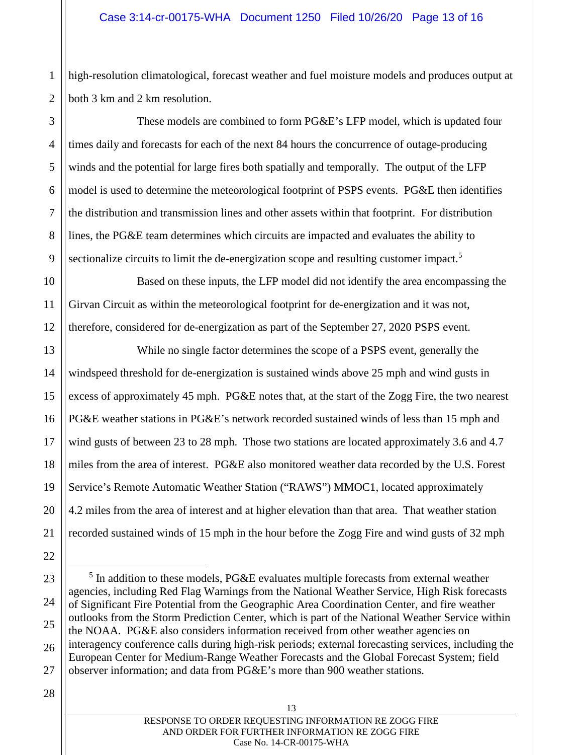high-resolution climatological, forecast weather and fuel moisture models and produces output at both 3 km and 2 km resolution.

These models are combined to form PG&E's LFP model, which is updated four times daily and forecasts for each of the next 84 hours the concurrence of outage-producing winds and the potential for large fires both spatially and temporally. The output of the LFP model is used to determine the meteorological footprint of PSPS events. PG&E then identifies the distribution and transmission lines and other assets within that footprint. For distribution lines, the PG&E team determines which circuits are impacted and evaluates the ability to sectionalize circuits to limit the de-energization scope and resulting customer impact.<sup>5</sup>

Based on these inputs, the LFP model did not identify the area encompassing the Girvan Circuit as within the meteorological footprint for de-energization and it was not, therefore, considered for de-energization as part of the September 27, 2020 PSPS event.

While no single factor determines the scope of a PSPS event, generally the windspeed threshold for de-energization is sustained winds above 25 mph and wind gusts in excess of approximately 45 mph. PG&E notes that, at the start of the Zogg Fire, the two nearest PG&E weather stations in PG&E's network recorded sustained winds of less than 15 mph and wind gusts of between 23 to 28 mph. Those two stations are located approximately 3.6 and 4.7 miles from the area of interest. PG&E also monitored weather data recorded by the U.S. Forest Service's Remote Automatic Weather Station ("RAWS") MMOC1, located approximately 4.2 miles from the area of interest and at higher elevation than that area. That weather station recorded sustained winds of 15 mph in the hour before the Zogg Fire and wind gusts of 32 mph

1

2

 $<sup>5</sup>$  In addition to these models, PG&E evaluates multiple forecasts from external weather</sup> agencies, including Red Flag Warnings from the National Weather Service, High Risk forecasts of Significant Fire Potential from the Geographic Area Coordination Center, and fire weather outlooks from the Storm Prediction Center, which is part of the National Weather Service within the NOAA. PG&E also considers information received from other weather agencies on interagency conference calls during high-risk periods; external forecasting services, including the European Center for Medium-Range Weather Forecasts and the Global Forecast System; field observer information; and data from PG&E's more than 900 weather stations.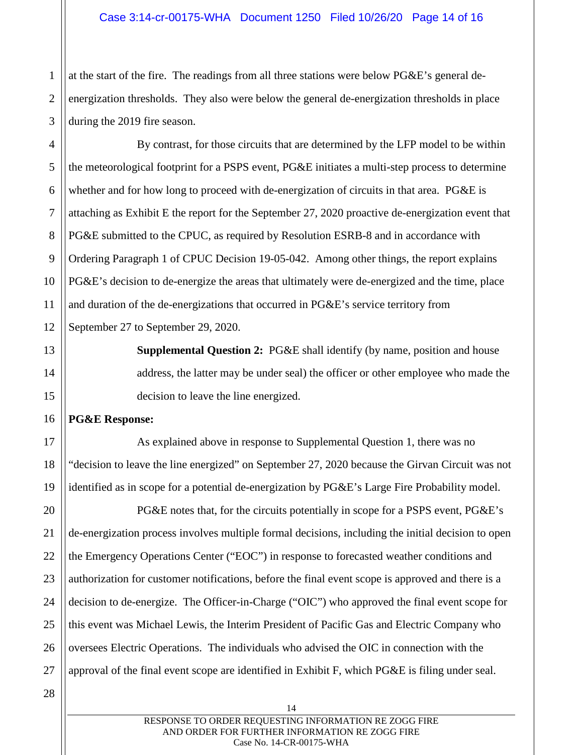2 3 at the start of the fire. The readings from all three stations were below PG&E's general deenergization thresholds. They also were below the general de-energization thresholds in place during the 2019 fire season.

4 5 6 7 8 9 10 11 12 By contrast, for those circuits that are determined by the LFP model to be within the meteorological footprint for a PSPS event, PG&E initiates a multi-step process to determine whether and for how long to proceed with de-energization of circuits in that area. PG&E is attaching as Exhibit E the report for the September 27, 2020 proactive de-energization event that PG&E submitted to the CPUC, as required by Resolution ESRB-8 and in accordance with Ordering Paragraph 1 of CPUC Decision 19-05-042. Among other things, the report explains PG&E's decision to de-energize the areas that ultimately were de-energized and the time, place and duration of the de-energizations that occurred in PG&E's service territory from September 27 to September 29, 2020.

> **Supplemental Question 2:** PG&E shall identify (by name, position and house address, the latter may be under seal) the officer or other employee who made the decision to leave the line energized.

# **PG&E Response:**

1

13

14

15

16

17

18

19

20

21

22

23

24

25

26

As explained above in response to Supplemental Question 1, there was no "decision to leave the line energized" on September 27, 2020 because the Girvan Circuit was not identified as in scope for a potential de-energization by PG&E's Large Fire Probability model.

PG&E notes that, for the circuits potentially in scope for a PSPS event, PG&E's de-energization process involves multiple formal decisions, including the initial decision to open the Emergency Operations Center ("EOC") in response to forecasted weather conditions and authorization for customer notifications, before the final event scope is approved and there is a decision to de-energize. The Officer-in-Charge ("OIC") who approved the final event scope for this event was Michael Lewis, the Interim President of Pacific Gas and Electric Company who oversees Electric Operations. The individuals who advised the OIC in connection with the approval of the final event scope are identified in Exhibit F, which PG&E is filing under seal.

28

27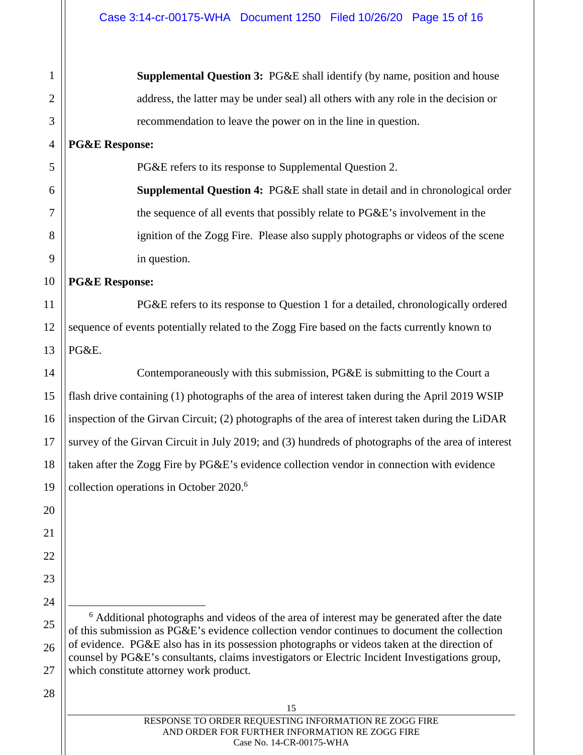**Supplemental Question 3:** PG&E shall identify (by name, position and house address, the latter may be under seal) all others with any role in the decision or recommendation to leave the power on in the line in question.

**PG&E Response:** 

1

2

3

4

5

6

7

8

9

10

11

12

13

20

21

22

23

24

25

26

PG&E refers to its response to Supplemental Question 2.

**Supplemental Question 4:** PG&E shall state in detail and in chronological order the sequence of all events that possibly relate to PG&E's involvement in the ignition of the Zogg Fire. Please also supply photographs or videos of the scene in question.

**PG&E Response:** 

PG&E refers to its response to Question 1 for a detailed, chronologically ordered sequence of events potentially related to the Zogg Fire based on the facts currently known to PG&E.

14 15 16 17 18 19 Contemporaneously with this submission, PG&E is submitting to the Court a flash drive containing (1) photographs of the area of interest taken during the April 2019 WSIP inspection of the Girvan Circuit; (2) photographs of the area of interest taken during the LiDAR survey of the Girvan Circuit in July 2019; and (3) hundreds of photographs of the area of interest taken after the Zogg Fire by PG&E's evidence collection vendor in connection with evidence collection operations in October 2020.<sup>6</sup>

<sup>6</sup> Additional photographs and videos of the area of interest may be generated after the date of this submission as PG&E's evidence collection vendor continues to document the collection of evidence. PG&E also has in its possession photographs or videos taken at the direction of counsel by PG&E's consultants, claims investigators or Electric Incident Investigations group, which constitute attorney work product.

#### 28